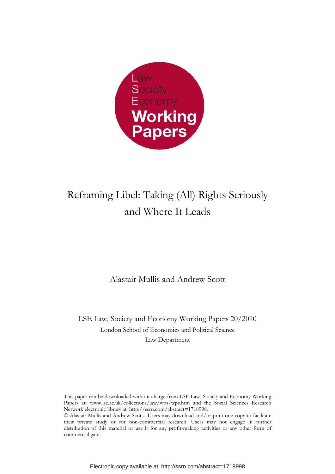

# Reframing Libel: Taking (All) Rights Seriously and Where It Leads

Alastair Mullis and Andrew Scott

LSE Law, Society and Economy Working Papers 20/2010 London School of Economics and Political Science Law Department

This paper can be downloaded without charge from LSE Law, Society and Economy Working Papers at: www.lse.ac.uk/collections/law/wps/wps.htm and the Social Sciences Research Network electronic library at: http://ssrn.com/abstract=1718998.

<sup>©</sup> Alastair Mullis and Andrew Scott. Users may download and/or print one copy to facilitate their private study or for non-commercial research. Users may not engage in further distribution of this material or use it for any profit-making activities or any other form of commercial gain.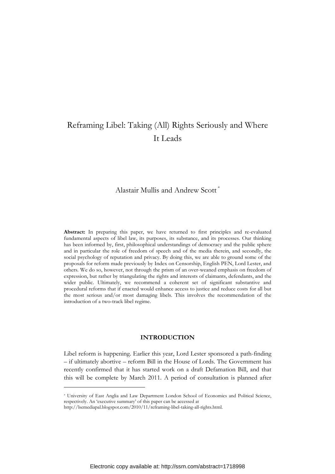# Reframing Libel: Taking (All) Rights Seriously and Where It Leads

Alastair Mullis and Andrew Scott \*

Abstract: In preparing this paper, we have returned to first principles and re-evaluated fundamental aspects of libel law, its purposes, its substance, and its processes. Our thinking has been informed by, first, philosophical understandings of democracy and the public sphere and in particular the role of freedom of speech and of the media therein, and secondly, the social psychology of reputation and privacy. By doing this, we are able to ground some of the proposals for reform made previously by Index on Censorship, English PEN, Lord Lester, and others. We do so, however, not through the prism of an over-weaned emphasis on freedom of expression, but rather by triangulating the rights and interests of claimants, defendants, and the wider public. Ultimately, we recommend a coherent set of significant substantive and procedural reforms that if enacted would enhance access to justice and reduce costs for all but the most serious and/or most damaging libels. This involves the recommendation of the introduction of a two-track libel regime.

# INTRODUCTION

Libel reform is happening. Earlier this year, Lord Lester sponsored a path-finding – if ultimately abortive – reform Bill in the House of Lords. The Government has recently confirmed that it has started work on a draft Defamation Bill, and that this will be complete by March 2011. A period of consultation is planned after

<sup>\*</sup> University of East Anglia and Law Department London School of Economics and Political Science, respectively. An 'executive summary' of this paper can be accessed at

http://lsemediapal.blogspot.com/2010/11/reframing-libel-taking-all-rights.html.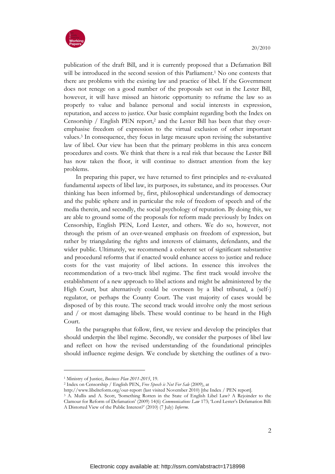

publication of the draft Bill, and it is currently proposed that a Defamation Bill will be introduced in the second session of this Parliament.<sup>1</sup> No one contests that there are problems with the existing law and practice of libel. If the Government does not renege on a good number of the proposals set out in the Lester Bill, however, it will have missed an historic opportunity to reframe the law so as properly to value and balance personal and social interests in expression, reputation, and access to justice. Our basic complaint regarding both the Index on Censorship / English PEN report,2 and the Lester Bill has been that they overemphasise freedom of expression to the virtual exclusion of other important values.3 In consequence, they focus in large measure upon revising the substantive law of libel. Our view has been that the primary problems in this area concern procedures and costs. We think that there is a real risk that because the Lester Bill has now taken the floor, it will continue to distract attention from the key problems.

In preparing this paper, we have returned to first principles and re-evaluated fundamental aspects of libel law, its purposes, its substance, and its processes. Our thinking has been informed by, first, philosophical understandings of democracy and the public sphere and in particular the role of freedom of speech and of the media therein, and secondly, the social psychology of reputation. By doing this, we are able to ground some of the proposals for reform made previously by Index on Censorship, English PEN, Lord Lester, and others. We do so, however, not through the prism of an over-weaned emphasis on freedom of expression, but rather by triangulating the rights and interests of claimants, defendants, and the wider public. Ultimately, we recommend a coherent set of significant substantive and procedural reforms that if enacted would enhance access to justice and reduce costs for the vast majority of libel actions. In essence this involves the recommendation of a two-track libel regime. The first track would involve the establishment of a new approach to libel actions and might be administered by the High Court, but alternatively could be overseen by a libel tribunal, a (self-) regulator, or perhaps the County Court. The vast majority of cases would be disposed of by this route. The second track would involve only the most serious and / or most damaging libels. These would continue to be heard in the High Court.

In the paragraphs that follow, first, we review and develop the principles that should underpin the libel regime. Secondly, we consider the purposes of libel law and reflect on how the revised understanding of the foundational principles should influence regime design. We conclude by sketching the outlines of a two-

<sup>&</sup>lt;sup>1</sup> Ministry of Justice, Business Plan 2011-2015, 19.

<sup>&</sup>lt;sup>2</sup> Index on Censorship / English PEN, Free Speech is Not For Sale (2009), at

http://www.libelreform.org/our-report (last visited November 2010) [the Index / PEN report].

<sup>3</sup> A. Mullis and A. Scott, 'Something Rotten in the State of English Libel Law? A Rejoinder to the Clamour for Reform of Defamation' (2009) 14(6) Communications Law 173; 'Lord Lester's Defamation Bill: A Distorted View of the Public Interest?' (2010) (7 July) Inforrm.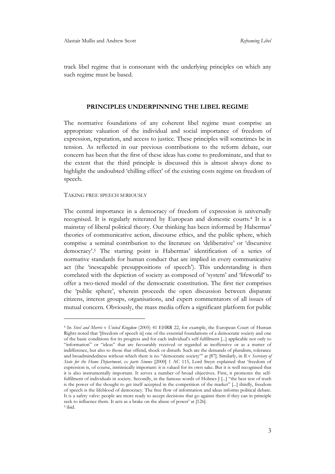track libel regime that is consonant with the underlying principles on which any such regime must be based.

### PRINCIPLES UNDERPINNING THE LIBEL REGIME

The normative foundations of any coherent libel regime must comprise an appropriate valuation of the individual and social importance of freedom of expression, reputation, and access to justice. These principles will sometimes be in tension. As reflected in our previous contributions to the reform debate, our concern has been that the first of these ideas has come to predominate, and that to the extent that the third principle is discussed this is almost always done to highlight the undoubted 'chilling effect' of the existing costs regime on freedom of speech.

#### TAKING FREE SPEECH SERIOUSLY

 $\overline{a}$ 

The central importance in a democracy of freedom of expression is universally recognised. It is regularly reiterated by European and domestic courts.4 It is a mainstay of liberal political theory. Our thinking has been informed by Habermas' theories of communicative action, discourse ethics, and the public sphere, which comprise a seminal contribution to the literature on 'deliberative' or 'discursive democracy'.5 The starting point is Habermas' identification of a series of normative standards for human conduct that are implied in every communicative act (the 'inescapable presuppositions of speech'). This understanding is then correlated with the depiction of society as composed of 'system' and 'lifeworld' to offer a two-tiered model of the democratic constitution. The first tier comprises the 'public sphere', wherein proceeds the open discussion between disparate citizens, interest groups, organisations, and expert commentators of all issues of mutual concern. Obviously, the mass media offers a significant platform for public

<sup>4</sup> In Steel and Morris v United Kingdom (2005) 41 EHRR 22, for example, the European Court of Human Rights noted that '[freedom of speech is] one of the essential foundations of a democratic society and one of the basic conditions for its progress and for each individual's self-fulfilment [...] applicable not only to "information" or "ideas" that are favourably received or regarded as inoffensive or as a matter of indifference, but also to those that offend, shock or disturb. Such are the demands of pluralism, tolerance and broadmindedness without which there is no "democratic society" at [87]. Similarly, in R v Secretary of State for the Home Department, ex parte Simms [2000] 1 AC 115, Lord Steyn explained that 'freedom of expression is, of course, intrinsically important: it is valued for its own sake. But it is well recognised that it is also instrumentally important. It serves a number of broad objectives. First, it promotes the selffulfilment of individuals in society. Secondly, in the famous words of Holmes J [...] "the best test of truth is the power of the thought to get itself accepted in the competition of the market" [...] thirdly, freedom of speech is the lifeblood of democracy. The free flow of information and ideas informs political debate. It is a safety valve: people are more ready to accept decisions that go against them if they can in principle seek to influence them. It acts as a brake on the abuse of power' at [126]. 5 ibid.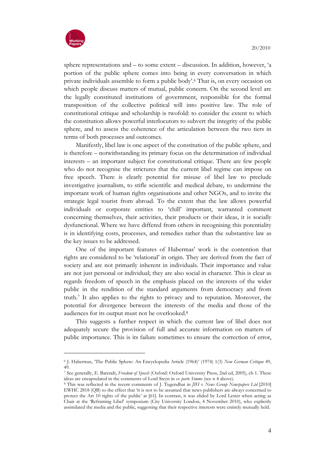

 $\overline{a}$ 

sphere representations and – to some extent – discussion. In addition, however, 'a portion of the public sphere comes into being in every conversation in which private individuals assemble to form a public body'.6 That is, on every occasion on which people discuss matters of mutual, public concern. On the second level are the legally constituted institutions of government, responsible for the formal transposition of the collective political will into positive law. The role of constitutional critique and scholarship is twofold: to consider the extent to which the constitution allows powerful interlocutors to subvert the integrity of the public sphere, and to assess the coherence of the articulation between the two tiers in terms of both processes and outcomes.

Manifestly, libel law is one aspect of the constitution of the public sphere, and is therefore – notwithstanding its primary focus on the determination of individual interests – an important subject for constitutional critique. There are few people who do not recognise the strictures that the current libel regime can impose on free speech. There is clearly potential for misuse of libel law to preclude investigative journalism, to stifle scientific and medical debate, to undermine the important work of human rights organisations and other NGOs, and to invite the strategic legal tourist from abroad. To the extent that the law allows powerful individuals or corporate entities to 'chill' important, warranted comment concerning themselves, their activities, their products or their ideas, it is socially dysfunctional. Where we have differed from others in recognising this potentiality is in identifying costs, processes, and remedies rather than the substantive law as the key issues to be addressed.

One of the important features of Habermas' work is the contention that rights are considered to be 'relational' in origin. They are derived from the fact of society and are not primarily inherent in individuals. Their importance and value are not just personal or individual; they are also social in character. This is clear as regards freedom of speech in the emphasis placed on the interests of the wider public in the rendition of the standard arguments from democracy and from truth.7 It also applies to the rights to privacy and to reputation. Moreover, the potential for divergence between the interests of the media and those of the audiences for its output must not be overlooked.<sup>8</sup>

This suggests a further respect in which the current law of libel does not adequately secure the provision of full and accurate information on matters of public importance. This is its failure sometimes to ensure the correction of error,

<sup>6</sup> J. Habermas, 'The Public Sphere: An Encyclopedia Article (1964)' (1974) 1(3) New German Critique 49, 49.

<sup>7</sup> See generally, E. Barendt, Freedom of Speech (Oxford: Oxford University Press, 2nd ed, 2005), ch 1. These ideas are encapsulated in the comments of Lord Steyn in ex parte Simms (see n 4 above).

<sup>8</sup> This was reflected in the recent comments of J. Tugendhat in JIH v News Group Newspapers Ltd [2010] EWHC 2818 (QB) to the effect that 'it is not to be assumed that news publishers are always concerned to protect the Art 10 rights of the public' at [61]. In contrast, it was elided by Lord Lester when acting as Chair at the 'Reframing Libel' symposium (City University London, 4 November 2010), who explicitly assimilated the media and the public, suggesting that their respective interests were entirely mutually held.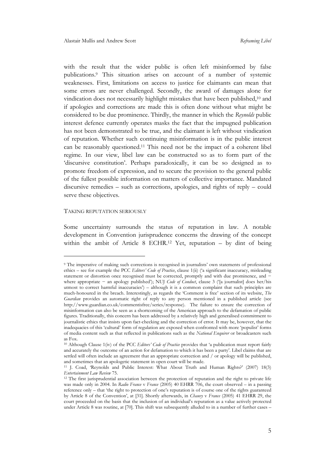with the result that the wider public is often left misinformed by false publications.9 This situation arises on account of a number of systemic weaknesses. First, limitations on access to justice for claimants can mean that some errors are never challenged. Secondly, the award of damages alone for vindication does not necessarily highlight mistakes that have been published,10 and if apologies and corrections are made this is often done without what might be considered to be due prominence. Thirdly, the manner in which the Reynolds public interest defence currently operates masks the fact that the impugned publication has not been demonstrated to be true, and the claimant is left without vindication of reputation. Whether such continuing misinformation is in the public interest can be reasonably questioned.11 This need not be the impact of a coherent libel regime. In our view, libel law can be constructed so as to form part of the 'discursive constitution'. Perhaps paradoxically, it can be so designed as to promote freedom of expression, and to secure the provision to the general public of the fullest possible information on matters of collective importance. Mandated discursive remedies – such as corrections, apologies, and rights of reply – could serve these objectives.

#### TAKING REPUTATION SERIOUSLY

 $\overline{a}$ 

Some uncertainty surrounds the status of reputation in law. A notable development in Convention jurisprudence concerns the drawing of the concept within the ambit of Article 8 ECHR.12 Yet, reputation – by dint of being

<sup>9</sup> The imperative of making such corrections is recognised in journalists' own statements of professional ethics – see for example the PCC Editors' Code of Practice, clause 1(ii) ('a significant inaccuracy, misleading statement or distortion once recognised must be corrected, promptly and with due prominence, and − where appropriate − an apology published'); NUJ Code of Conduct, clause 3 ('[a journalist] does her/his utmost to correct harmful inaccuracies') – although it is a common complaint that such principles are much-honoured in the breach. Interestingly, as regards the 'Comment is free' section of its website, The Guardian provides an automatic right of reply to any person mentioned in a published article (see http://www.guardian.co.uk/commentisfree/series/response). The failure to ensure the correction of misinformation can also be seen as a shortcoming of the American approach to the defamation of public figures. Traditionally, this concern has been addressed by a relatively high and generalised commitment to journalistic ethics that insists upon fact-checking and the correction of error. It may be, however, that the inadequacies of this 'cultural' form of regulation are exposed when confronted with more 'populist' forms of media content such as that reflected in publications such as the National Enquirer or broadcasters such as Fox.

<sup>&</sup>lt;sup>10</sup> Although Clause 1(iv) of the PCC Editors' Code of Practice provides that 'a publication must report fairly and accurately the outcome of an action for defamation to which it has been a party'. Libel claims that are settled will often include an agreement that an appropriate correction and / or apology will be published, and sometimes that an apologetic statement in open court will be made.

<sup>11</sup> J. Coad, 'Reynolds and Public Interest: What About Truth and Human Rights?' (2007) 18(3) Entertainment Law Review 75.

<sup>&</sup>lt;sup>12</sup> The first jurisprudential association between the protection of reputation and the right to private life was made only in 2004. In Radio France v France (2005) 40 EHRR 706, the court observed – in a passing reference only – that 'the right to protection of one's reputation is of course one of the rights guaranteed by Article 8 of the Convention', at [31]. Shortly afterwards, in Chauvy v France (2005) 41 EHRR 29, the court proceeded on the basis that the inclusion of an individual's reputation as a value actively protected under Article 8 was routine, at [70]. This shift was subsequently alluded to in a number of further cases –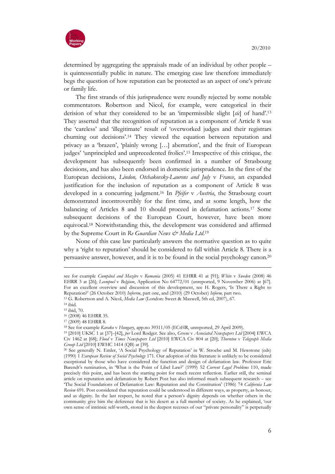

determined by aggregating the appraisals made of an individual by other people – is quintessentially public in nature. The emerging case law therefore immediately begs the question of how reputation can be protected as an aspect of one's private or family life.

The first strands of this jurisprudence were roundly rejected by some notable commentators. Robertson and Nicol, for example, were categorical in their derision of what they considered to be an 'impermissible slight  $[x_i]$  of hand'.<sup>13</sup> They asserted that the recognition of reputation as a component of Article 8 was the 'careless' and 'illegitimate' result of 'overworked judges and their registrars churning out decisions'.14 They viewed the equation between reputation and privacy as a 'brazen', 'plainly wrong […] aberration', and the fruit of European judges' 'unprincipled and unprecedented frolics'.15 Irrespective of this critique, the development has subsequently been confirmed in a number of Strasbourg decisions, and has also been endorsed in domestic jurisprudence. In the first of the European decisions, Lindon, Otchakovsky-Laurens and July v France, an expanded justification for the inclusion of reputation as a component of Article 8 was developed in a concurring judgment.<sup>16</sup> In Pfeifer v Austria, the Strasbourg court demonstrated incontrovertibly for the first time, and at some length, how the balancing of Articles 8 and 10 should proceed in defamation actions.17 Some subsequent decisions of the European Court, however, have been more equivocal.18 Notwithstanding this, the development was considered and affirmed by the Supreme Court in Re Guardian News & Media Ltd.<sup>19</sup>

None of this case law particularly answers the normative question as to quite why a 'right to reputation' should be considered to fall within Article 8. There is a persuasive answer, however, and it is to be found in the social psychology canon.<sup>20</sup>

see for example Cumpănă and Mazăre v Romania (2005) 41 EHRR 41 at [91]; White v Sweden (2008) 46 EHRR 3 at [26]; Leempoel v Belgium, Application No 64772/01 (unreported, 9 November 2006) at [67]. For an excellent overview and discussion of this development, see H. Rogers, 'Is There a Right to Reputation?' (26 October 2010) Inforrm, part one, and (2010) (29 October) Inform, part two.

<sup>13</sup> G. Robertson and A. Nicol, Media Law (London: Sweet & Maxwell, 5th ed, 2007), 67.

<sup>14</sup> ibid.

<sup>15</sup> ibid, 70.

<sup>16</sup> (2008) 46 EHRR 35.

<sup>17</sup> (2009) 48 EHRR 8.

<sup>18</sup> See for example Karako v Hungary, app.no 39311/05 (ECtHR, unreported, 29 April 2009).

<sup>19</sup> [2010] UKSC 1 at [37]–[42], per Lord Rodger. See also, Greene v Associated Newspapers Ltd [2004] EWCA Civ 1462 at [68]; Flood v Times Newspapers Ltd [2010] EWCA Civ 804 at [20]; Thornton v Telegraph Media Group Ltd [2010] EWHC 1414 (QB) at [39].

<sup>20</sup> See generally N. Emler, 'A Social Psychology of Reputation' in W. Stroebe and M. Hewstone (eds) (1990) 1 European Review of Social Psychology 171. Our adoption of this literature is unlikely to be considered exceptional by those who have considered the function and design of defamation law. Professor Eric Barendt's rumination, in 'What is the Point of Libel Law?' (1999) 52 Current Legal Problems 110, made precisely this point, and has been the starting point for much recent reflection. Earlier still, the seminal article on reputation and defamation by Robert Post has also informed much subsequent research – see 'The Social Foundations of Defamation Law: Reputation and the Constitution' (1986) 74 California Law Review 691. Post considered that reputation could be understood in different ways, as property, as honour, and as dignity. In the last respect, he noted that a person's dignity depends on whether others in the community give him the deference that is his desert as a full member of society. As he explained, 'our own sense of intrinsic self-worth, stored in the deepest recesses of our "private personality" is perpetually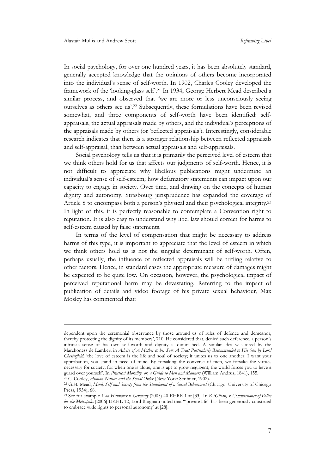In social psychology, for over one hundred years, it has been absolutely standard, generally accepted knowledge that the opinions of others become incorporated into the individual's sense of self-worth. In 1902, Charles Cooley developed the framework of the 'looking-glass self'.<sup>21</sup> In 1934, George Herbert Mead described a similar process, and observed that 'we are more or less unconsciously seeing ourselves as others see us'.22 Subsequently, these formulations have been revised somewhat, and three components of self-worth have been identified: selfappraisals, the actual appraisals made by others, and the individual's perceptions of the appraisals made by others (or 'reflected appraisals'). Interestingly, considerable research indicates that there is a stronger relationship between reflected appraisals and self-appraisal, than between actual appraisals and self-appraisals.

Social psychology tells us that it is primarily the perceived level of esteem that we think others hold for us that affects our judgments of self-worth. Hence, it is not difficult to appreciate why libellous publications might undermine an individual's sense of self-esteem; how defamatory statements can impact upon our capacity to engage in society. Over time, and drawing on the concepts of human dignity and autonomy, Strasbourg jurisprudence has expanded the coverage of Article 8 to encompass both a person's physical and their psychological integrity.<sup>23</sup> In light of this, it is perfectly reasonable to contemplate a Convention right to reputation. It is also easy to understand why libel law should correct for harms to self-esteem caused by false statements.

In terms of the level of compensation that might be necessary to address harms of this type, it is important to appreciate that the level of esteem in which we think others hold us is not the singular determinant of self-worth. Often, perhaps usually, the influence of reflected appraisals will be trifling relative to other factors. Hence, in standard cases the appropriate measure of damages might be expected to be quite low. On occasion, however, the psychological impact of perceived reputational harm may be devastating. Referring to the impact of publication of details and video footage of his private sexual behaviour, Max Mosley has commented that:

dependent upon the ceremonial observance by those around us of rules of defence and demeanor, thereby protecting the dignity of its members', 710. He considered that, denied such deference, a person's intrinsic sense of his own self-worth and dignity is diminished. A similar idea was aired by the Marchoness de Lambert in Advice of A Mother to her Son: A Tract Particularly Recommended to His Son by Lord Chesterfield, 'the love of esteem is the life and soul of society; it unites us to one another: I want your approbation, you stand in need of mine. By forsaking the converse of men, we forsake the virtues necessary for society; for when one is alone, one is apt to grow negligent; the world forces you to have a guard over yourself'. In Practical Morality, or, a Guide to Men and Manners (William Andrus, 1841), 155.

<sup>&</sup>lt;sup>21</sup> C. Cooley, Human Nature and the Social Order (New York: Scribner, 1902).

<sup>&</sup>lt;sup>22</sup> G.H. Mead, Mind, Self and Society from the Standpoint of a Social Behaviorist (Chicago: University of Chicago Press, 1934), 68.

<sup>&</sup>lt;sup>23</sup> See for example Von Hannover v Germany (2005) 40 EHRR 1 at [33]. In R (Gillan) v Commissioner of Police for the Metropolis [2006] UKHL 12, Lord Bingham noted that '"private life" has been generously construed to embrace wide rights to personal autonomy' at [28].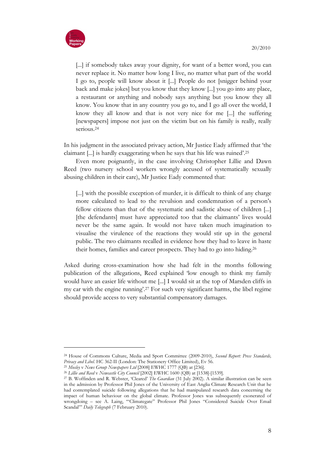



 $\overline{a}$ 

[...] if somebody takes away your dignity, for want of a better word, you can never replace it. No matter how long I live, no matter what part of the world I go to, people will know about it [...] People do not [snigger behind your back and make jokes] but you know that they know [...] you go into any place, a restaurant or anything and nobody says anything but you know they all know. You know that in any country you go to, and I go all over the world, I know they all know and that is not very nice for me [...] the suffering [newspapers] impose not just on the victim but on his family is really, really serious.<sup>24</sup>

In his judgment in the associated privacy action, Mr Justice Eady affirmed that 'the claimant [...] is hardly exaggerating when he says that his life was ruined'.<sup>25</sup>

Even more poignantly, in the case involving Christopher Lillie and Dawn Reed (two nursery school workers wrongly accused of systematically sexually abusing children in their care), Mr Justice Eady commented that:

[...] with the possible exception of murder, it is difficult to think of any charge more calculated to lead to the revulsion and condemnation of a person's fellow citizens than that of the systematic and sadistic abuse of children [...] [the defendants] must have appreciated too that the claimants' lives would never be the same again. It would not have taken much imagination to visualise the virulence of the reactions they would stir up in the general public. The two claimants recalled in evidence how they had to leave in haste their homes, families and career prospects. They had to go into hiding.<sup>26</sup>

Asked during cross-examination how she had felt in the months following publication of the allegations, Reed explained 'low enough to think my family would have an easier life without me [...] I would sit at the top of Marsden cliffs in my car with the engine running'.27 For such very significant harms, the libel regime should provide access to very substantial compensatory damages.

<sup>&</sup>lt;sup>24</sup> House of Commons Culture, Media and Sport Committee (2009-2010), Second Report: Press Standards, Privacy and Libel. HC 362-II (London: The Stationery Office Limited), Ev 56.

<sup>&</sup>lt;sup>25</sup> Mosley v News Group Newspapers Ltd [2008] EWHC 1777 (QB) at [236].

<sup>&</sup>lt;sup>26</sup> Lillie and Reed v Newcastle City Council [2002] EWHC 1600 (QB) at [1538]-[1539].

<sup>&</sup>lt;sup>27</sup> B. Woffinden and R. Webster, 'Cleared' *The Guardian* (31 July 2002). A similar illustration can be seen in the admission by Professor Phil Jones of the University of East Anglia Climate Research Unit that he had contemplated suicide following allegations that he had manipulated research data concerning the impact of human behaviour on the global climate. Professor Jones was subsequently exonerated of wrongdoing – see A. Laing, '"Climategate" Professor Phil Jones "Considered Suicide Over Email Scandal"' Daily Telegraph (7 February 2010).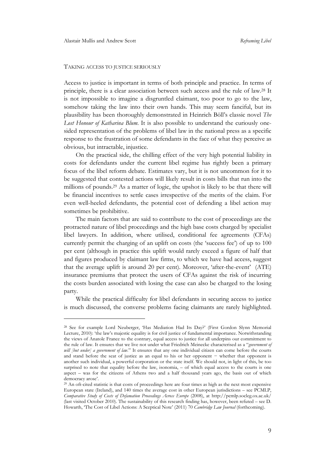$\overline{a}$ 

#### TAKING ACCESS TO JUSTICE SERIOUSLY

Access to justice is important in terms of both principle and practice. In terms of principle, there is a clear association between such access and the rule of law.28 It is not impossible to imagine a disgruntled claimant, too poor to go to the law, somehow taking the law into their own hands. This may seem fanciful, but its plausibility has been thoroughly demonstrated in Heinrich Böll's classic novel The Lost Honour of Katharina Blum. It is also possible to understand the curiously onesided representation of the problems of libel law in the national press as a specific response to the frustration of some defendants in the face of what they perceive as obvious, but intractable, injustice.

On the practical side, the chilling effect of the very high potential liability in costs for defendants under the current libel regime has rightly been a primary focus of the libel reform debate. Estimates vary, but it is not uncommon for it to be suggested that contested actions will likely result in costs bills that run into the millions of pounds.29 As a matter of logic, the upshot is likely to be that there will be financial incentives to settle cases irrespective of the merits of the claim. For even well-heeled defendants, the potential cost of defending a libel action may sometimes be prohibitive.

The main factors that are said to contribute to the cost of proceedings are the protracted nature of libel proceedings and the high base costs charged by specialist libel lawyers. In addition, where utilised, conditional fee agreements (CFAs) currently permit the charging of an uplift on costs (the 'success fee') of up to 100 per cent (although in practice this uplift would rarely exceed a figure of half that and figures produced by claimant law firms, to which we have had access, suggest that the average uplift is around 20 per cent). Moreover, 'after-the-event' (ATE) insurance premiums that protect the users of CFAs against the risk of incurring the costs burden associated with losing the case can also be charged to the losing party.

While the practical difficulty for libel defendants in securing access to justice is much discussed, the converse problems facing claimants are rarely highlighted.

<sup>28</sup> See for example Lord Neuberger, 'Has Mediation Had Its Day?' (First Gordon Slynn Memorial Lecture, 2010): 'the law's majestic equality is for civil justice of fundamental importance. Notwithstanding the views of Anatole France to the contrary, equal access to justice for all underpins our commitment to the rule of law. It ensures that we live not under what Friedrich Meinecke characterised as a "*government of* will [but under] a government of law." It ensures that any one individual citizen can come before the courts and stand before the seat of justice as an equal to his or her opponent − whether that opponent is another such individual, a powerful corporation or the state itself. We should not, in light of this, be too surprised to note that equality before the law, isonomia, – of which equal access to the courts is one aspect – was for the citizens of Athens two and a half thousand years ago, the basis out of which democracy arose'.

<sup>29</sup> An oft-cited statistic is that costs of proceedings here are four times as high as the next most expensive European state (Ireland), and 140 times the average cost in other European jurisdictions – see PCMLP, Comparative Study of Costs of Defamation Proceedings Across Europe (2008), at http://pcmlp.socleg.ox.ac.uk/ (last visited October 2010). The sustainability of this research finding has, however, been refuted – see D. Howarth, 'The Cost of Libel Actions: A Sceptical Note' (2011) 70 Cambridge Law Journal (forthcoming).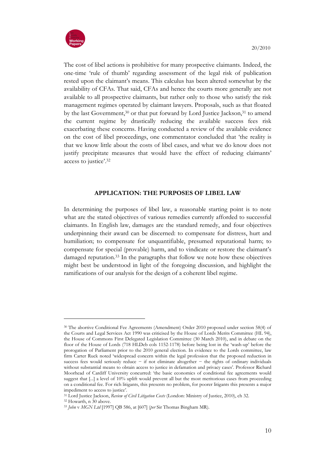

The cost of libel actions is prohibitive for many prospective claimants. Indeed, the one-time 'rule of thumb' regarding assessment of the legal risk of publication rested upon the claimant's means. This calculus has been altered somewhat by the availability of CFAs. That said, CFAs and hence the courts more generally are not available to all prospective claimants, but rather only to those who satisfy the risk management regimes operated by claimant lawyers. Proposals, such as that floated by the last Government,<sup>30</sup> or that put forward by Lord Justice Jackson,<sup>31</sup> to amend the current regime by drastically reducing the available success fees risk exacerbating these concerns. Having conducted a review of the available evidence on the cost of libel proceedings, one commentator concluded that 'the reality is that we know little about the costs of libel cases, and what we do know does not justify precipitate measures that would have the effect of reducing claimants' access to justice'.<sup>32</sup>

# APPLICATION: THE PURPOSES OF LIBEL LAW

In determining the purposes of libel law, a reasonable starting point is to note what are the stated objectives of various remedies currently afforded to successful claimants. In English law, damages are the standard remedy, and four objectives underpinning their award can be discerned: to compensate for distress, hurt and humiliation; to compensate for unquantifiable, presumed reputational harm; to compensate for special (provable) harm, and to vindicate or restore the claimant's damaged reputation.33 In the paragraphs that follow we note how these objectives might best be understood in light of the foregoing discussion, and highlight the ramifications of our analysis for the design of a coherent libel regime.

<sup>30</sup> The abortive Conditional Fee Agreements (Amendment) Order 2010 proposed under section 58(4) of the Courts and Legal Services Act 1990 was criticised by the House of Lords Merits Committee (HL 94), the House of Commons First Delegated Legislation Committee (30 March 2010), and in debate on the floor of the House of Lords (718 HLDeb cols 1152-1178) before being lost in the 'wash-up' before the prorogation of Parliament prior to the 2010 general election. In evidence to the Lords committee, law firm Carter Ruck noted 'widespread concern within the legal profession that the proposed reduction in success fees would seriously reduce − if not eliminate altogether − the rights of ordinary individuals without substantial means to obtain access to justice in defamation and privacy cases'. Professor Richard Moorhead of Cardiff University concurred: 'the basic economics of conditional fee agreements would suggest that [...] a level of 10% uplift would prevent all but the most meritorious cases from proceeding on a conditional fee. For rich litigants, this presents no problem, for poorer litigants this presents a major impediment to access to justice'.

<sup>&</sup>lt;sup>31</sup> Lord Justice Jackson, Review of Civil Litigation Costs (London: Ministry of Justice, 2010), ch 32.

<sup>32</sup> Howarth, n 30 above.

<sup>33</sup> John v MGN Ltd [1997] QB 586, at [607] (per Sir Thomas Bingham MR).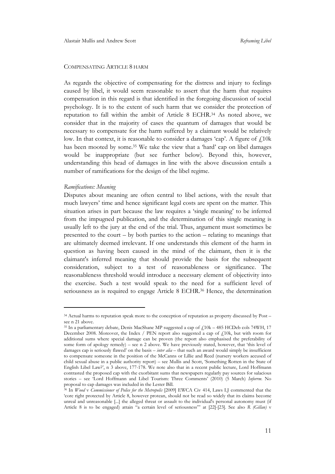# COMPENSATING ARTICLE 8 HARM

As regards the objective of compensating for the distress and injury to feelings caused by libel, it would seem reasonable to assert that the harm that requires compensation in this regard is that identified in the foregoing discussion of social psychology. It is to the extent of such harm that we consider the protection of reputation to fall within the ambit of Article 8 ECHR. <sup>34</sup> As noted above, we consider that in the majority of cases the quantum of damages that would be necessary to compensate for the harm suffered by a claimant would be relatively low. In that context, it is reasonable to consider a damages 'cap'. A figure of  $f<sub>1</sub>10k$ has been mooted by some.<sup>35</sup> We take the view that a 'hard' cap on libel damages would be inappropriate (but see further below). Beyond this, however, understanding this head of damages in line with the above discussion entails a number of ramifications for the design of the libel regime.

#### Ramifications: Meaning

 $\overline{a}$ 

Disputes about meaning are often central to libel actions, with the result that much lawyers' time and hence significant legal costs are spent on the matter. This situation arises in part because the law requires a 'single meaning' to be inferred from the impugned publication, and the determination of this single meaning is usually left to the jury at the end of the trial. Thus, argument must sometimes be presented to the court – by both parties to the action – relating to meanings that are ultimately deemed irrelevant. If one understands this element of the harm in question as having been caused in the mind of the claimant, then it is the claimant's inferred meaning that should provide the basis for the subsequent consideration, subject to a test of reasonableness or significance. The reasonableness threshold would introduce a necessary element of objectivity into the exercise. Such a test would speak to the need for a sufficient level of seriousness as is required to engage Article 8 ECHR.<sup>36</sup> Hence, the determination

<sup>&</sup>lt;sup>34</sup> Actual harms to reputation speak more to the conception of reputation as property discussed by Post – see n 21 above.

<sup>&</sup>lt;sup>35</sup> In a parliamentary debate, Denis MacShane MP suggested a cap of  $\ell$ 10k – 485 HCDeb cols 74WH, 17 December 2008. Moreover, the Index  $/$  PEN report also suggested a cap of  $f_1$ 10k, but with room for additional sums where special damage can be proven (the report also emphasised the preferability of some form of apology remedy) – see n 2 above. We have previously stated, however, that 'this level of damages cap is seriously flawed' on the basis – *inter alia* – that such an award would simply be insufficient to compensate someone in the position of the McCanns or Lillie and Reed (nursery workers accused of child sexual abuse in a public authority report) – see Mullis and Scott, 'Something Rotten in the State of English Libel Law?', n 3 above, 177-178. We note also that in a recent public lecture, Lord Hoffmann contrasted the proposed cap with the exorbitant sums that newspapers regularly pay sources for salacious stories – see 'Lord Hoffmann and Libel Tourism: Three Comments' (2010) (5 March) Inforrm. No proposal to cap damages was included in the Lester Bill.

<sup>&</sup>lt;sup>36</sup> In *Wood v Commissioner of Police for the Metropolis* [2009] EWCA Civ 414, Laws LJ commented that the 'core right protected by Article 8, however protean, should not be read so widely that its claims become unreal and unreasonable [...] the alleged threat or assault to the individual's personal autonomy must (if Article 8 is to be engaged) attain "a certain level of seriousness" at [22]-[23]. See also R (Gillan) v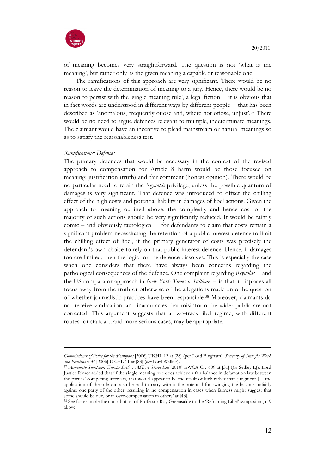

of meaning becomes very straightforward. The question is not 'what is the meaning', but rather only 'is the given meaning a capable or reasonable one'.

The ramifications of this approach are very significant. There would be no reason to leave the determination of meaning to a jury. Hence, there would be no reason to persist with the 'single meaning rule', a legal fiction − it is obvious that in fact words are understood in different ways by different people − that has been described as 'anomalous, frequently otiose and, where not otiose, unjust'.37 There would be no need to argue defences relevant to multiple, indeterminate meanings. The claimant would have an incentive to plead mainstream or natural meanings so as to satisfy the reasonableness test.

#### Ramifications: Defences

 $\overline{a}$ 

The primary defences that would be necessary in the context of the revised approach to compensation for Article 8 harm would be those focused on meaning: justification (truth) and fair comment (honest opinion). There would be no particular need to retain the Reynolds privilege, unless the possible quantum of damages is very significant. That defence was introduced to offset the chilling effect of the high costs and potential liability in damages of libel actions. Given the approach to meaning outlined above, the complexity and hence cost of the majority of such actions should be very significantly reduced. It would be faintly comic – and obviously tautological − for defendants to claim that costs remain a significant problem necessitating the retention of a public interest defence to limit the chilling effect of libel, if the primary generator of costs was precisely the defendant's own choice to rely on that public interest defence. Hence, if damages too are limited, then the logic for the defence dissolves. This is especially the case when one considers that there have always been concerns regarding the pathological consequences of the defence. One complaint regarding Reynolds − and the US comparator approach in New York Times v Sullivan − is that it displaces all focus away from the truth or otherwise of the allegations made onto the question of whether journalistic practices have been responsible.38 Moreover, claimants do not receive vindication, and inaccuracies that misinform the wider public are not corrected. This argument suggests that a two-track libel regime, with different routes for standard and more serious cases, may be appropriate.

Commissioner of Police for the Metropolis [2006] UKHL 12 at [28] (per Lord Bingham); Secretary of State for Work and Pensions v M [2006] UKHL 11 at [83] (per Lord Walker).

<sup>37</sup> Ajinomoto Sweeteners Europe SAS v ASDA Stores Ltd [2010] EWCA Civ 609 at [31] (per Sedley LJ). Lord Justice Rimer added that 'if the single meaning rule does achieve a fair balance in defamation law between the parties' competing interests, that would appear to be the result of luck rather than judgment [...] the application of the rule can also be said to carry with it the potential for swinging the balance unfairly against one party of the other, resulting in no compensation in cases when fairness might suggest that some should be due, or in over-compensation in others' at [43].

<sup>38</sup> See for example the contribution of Professor Roy Greensalde to the 'Reframing Libel' symposium, n 9 above.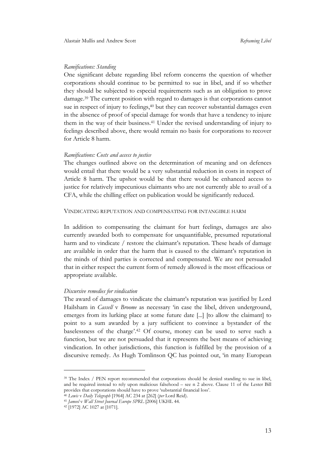#### Ramifications: Standing

One significant debate regarding libel reform concerns the question of whether corporations should continue to be permitted to sue in libel, and if so whether they should be subjected to especial requirements such as an obligation to prove damage.39 The current position with regard to damages is that corporations cannot sue in respect of injury to feelings,<sup>40</sup> but they can recover substantial damages even in the absence of proof of special damage for words that have a tendency to injure them in the way of their business.41 Under the revised understanding of injury to feelings described above, there would remain no basis for corporations to recover for Article 8 harm.

#### Ramifications: Costs and access to justice

The changes outlined above on the determination of meaning and on defences would entail that there would be a very substantial reduction in costs in respect of Article 8 harm. The upshot would be that there would be enhanced access to justice for relatively impecunious claimants who are not currently able to avail of a CFA, while the chilling effect on publication would be significantly reduced.

#### VINDICATING REPUTATION AND COMPENSATING FOR INTANGIBLE HARM

In addition to compensating the claimant for hurt feelings, damages are also currently awarded both to compensate for unquantifiable, presumed reputational harm and to vindicate / restore the claimant's reputation. These heads of damage are available in order that the harm that is caused to the claimant's reputation in the minds of third parties is corrected and compensated. We are not persuaded that in either respect the current form of remedy allowed is the most efficacious or appropriate available.

#### Discursive remedies for vindication

The award of damages to vindicate the claimant's reputation was justified by Lord Hailsham in *Cassell* v *Broome* as necessary 'in case the libel, driven underground, emerges from its lurking place at some future date [...] [to allow the claimant] to point to a sum awarded by a jury sufficient to convince a bystander of the baselessness of the charge'.42 Of course, money can be used to serve such a function, but we are not persuaded that it represents the best means of achieving vindication. In other jurisdictions, this function is fulfilled by the provision of a discursive remedy. As Hugh Tomlinson QC has pointed out, 'in many European

<sup>&</sup>lt;sup>39</sup> The Index / PEN report recommended that corporations should be denied standing to sue in libel, and be required instead to rely upon malicious falsehood – see n 2 above. Clause 11 of the Lester Bill provides that corporations should have to prove 'substantial financial loss'.

<sup>40</sup> Lewis v Daily Telegraph [1964] AC 234 at [262] (per Lord Reid).

<sup>41</sup> Jameel v Wall Street Journal Europe SPRL [2006] UKHL 44.

<sup>42</sup> [1972] AC 1027 at [1071].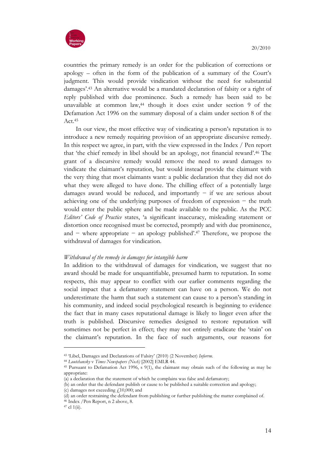

countries the primary remedy is an order for the publication of corrections or apology – often in the form of the publication of a summary of the Court's judgment. This would provide vindication without the need for substantial damages'.43 An alternative would be a mandated declaration of falsity or a right of reply published with due prominence. Such a remedy has been said to be unavailable at common law,44 though it does exist under section 9 of the Defamation Act 1996 on the summary disposal of a claim under section 8 of the Act.<sup>45</sup>

In our view, the most effective way of vindicating a person's reputation is to introduce a new remedy requiring provision of an appropriate discursive remedy. In this respect we agree, in part, with the view expressed in the Index / Pen report that 'the chief remedy in libel should be an apology, not financial reward'.46 The grant of a discursive remedy would remove the need to award damages to vindicate the claimant's reputation, but would instead provide the claimant with the very thing that most claimants want: a public declaration that they did not do what they were alleged to have done. The chilling effect of a potentially large damages award would be reduced, and importantly  $-$  if we are serious about achieving one of the underlying purposes of freedom of expression − the truth would enter the public sphere and be made available to the public. As the PCC Editors' Code of Practice states, 'a significant inaccuracy, misleading statement or distortion once recognised must be corrected, promptly and with due prominence, and − where appropriate − an apology published'.47 Therefore, we propose the withdrawal of damages for vindication.

# Withdrawal of the remedy in damages for intangible harm

In addition to the withdrawal of damages for vindication, we suggest that no award should be made for unquantifiable, presumed harm to reputation. In some respects, this may appear to conflict with our earlier comments regarding the social impact that a defamatory statement can have on a person. We do not underestimate the harm that such a statement can cause to a person's standing in his community, and indeed social psychological research is beginning to evidence the fact that in many cases reputational damage is likely to linger even after the truth is published. Discursive remedies designed to restore reputation will sometimes not be perfect in effect; they may not entirely eradicate the 'stain' on the claimant's reputation. In the face of such arguments, our reasons for

<sup>43</sup> 'Libel, Damages and Declarations of Falsity' (2010) (2 November) Inforrm.

<sup>44</sup> Loutchansky v Times Newspapers (No.6) [2002] EMLR 44.

<sup>45</sup> Pursuant to Defamation Act 1996, s 9(1), the claimant may obtain such of the following as may be appropriate:

<sup>(</sup>a) a declaration that the statement of which he complains was false and defamatory;

<sup>(</sup>b) an order that the defendant publish or cause to be published a suitable correction and apology;

<sup>(</sup>c) damages not exceeding  $f<sub>10</sub>,000$ ; and

<sup>(</sup>d) an order restraining the defendant from publishing or further publishing the matter complained of.

<sup>46</sup> Index /Pen Report, n 2 above, 8.

 $47$  cl  $1(ii)$ .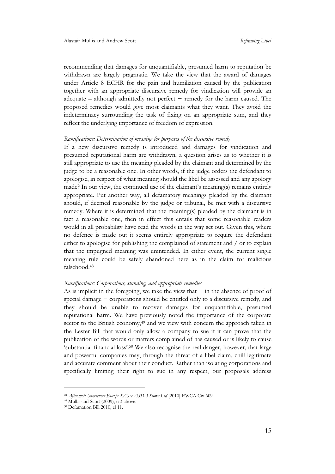recommending that damages for unquantifiable, presumed harm to reputation be withdrawn are largely pragmatic. We take the view that the award of damages under Article 8 ECHR for the pain and humiliation caused by the publication together with an appropriate discursive remedy for vindication will provide an adequate – although admittedly not perfect − remedy for the harm caused. The proposed remedies would give most claimants what they want. They avoid the indeterminacy surrounding the task of fixing on an appropriate sum, and they reflect the underlying importance of freedom of expression.

#### Ramifications: Determination of meaning for purposes of the discursive remedy

If a new discursive remedy is introduced and damages for vindication and presumed reputational harm are withdrawn, a question arises as to whether it is still appropriate to use the meaning pleaded by the claimant and determined by the judge to be a reasonable one. In other words, if the judge orders the defendant to apologise, in respect of what meaning should the libel be assessed and any apology made? In our view, the continued use of the claimant's meaning(s) remains entirely appropriate. Put another way, all defamatory meanings pleaded by the claimant should, if deemed reasonable by the judge or tribunal, be met with a discursive remedy. Where it is determined that the meaning(s) pleaded by the claimant is in fact a reasonable one, then in effect this entails that some reasonable readers would in all probability have read the words in the way set out. Given this, where no defence is made out it seems entirely appropriate to require the defendant either to apologise for publishing the complained of statement and / or to explain that the impugned meaning was unintended. In either event, the current single meaning rule could be safely abandoned here as in the claim for malicious falsehood.<sup>48</sup>

#### Ramifications: Corporations, standing, and appropriate remedies

As is implicit in the foregoing, we take the view that − in the absence of proof of special damage – corporations should be entitled only to a discursive remedy, and they should be unable to recover damages for unquantifiable, presumed reputational harm. We have previously noted the importance of the corporate sector to the British economy,<sup>49</sup> and we view with concern the approach taken in the Lester Bill that would only allow a company to sue if it can prove that the publication of the words or matters complained of has caused or is likely to cause 'substantial financial loss'.50 We also recognise the real danger, however, that large and powerful companies may, through the threat of a libel claim, chill legitimate and accurate comment about their conduct. Rather than isolating corporations and specifically limiting their right to sue in any respect, our proposals address

<sup>48</sup> Ajinomoto Sweeteners Europe SAS v ASDA Stores Ltd [2010] EWCA Civ 609.

<sup>49</sup> Mullis and Scott (2009), n 3 above.

<sup>50</sup> Defamation Bill 2010, cl 11.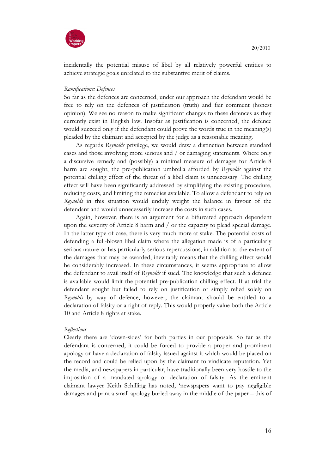

incidentally the potential misuse of libel by all relatively powerful entities to achieve strategic goals unrelated to the substantive merit of claims.

#### Ramifications: Defences

So far as the defences are concerned, under our approach the defendant would be free to rely on the defences of justification (truth) and fair comment (honest opinion). We see no reason to make significant changes to these defences as they currently exist in English law. Insofar as justification is concerned, the defence would succeed only if the defendant could prove the words true in the meaning(s) pleaded by the claimant and accepted by the judge as a reasonable meaning.

As regards Reynolds privilege, we would draw a distinction between standard cases and those involving more serious and / or damaging statements. Where only a discursive remedy and (possibly) a minimal measure of damages for Article 8 harm are sought, the pre-publication umbrella afforded by Reynolds against the potential chilling effect of the threat of a libel claim is unnecessary. The chilling effect will have been significantly addressed by simplifying the existing procedure, reducing costs, and limiting the remedies available. To allow a defendant to rely on Reynolds in this situation would unduly weight the balance in favour of the defendant and would unnecessarily increase the costs in such cases.

Again, however, there is an argument for a bifurcated approach dependent upon the severity of Article 8 harm and / or the capacity to plead special damage. In the latter type of case, there is very much more at stake. The potential costs of defending a full-blown libel claim where the allegation made is of a particularly serious nature or has particularly serious repercussions, in addition to the extent of the damages that may be awarded, inevitably means that the chilling effect would be considerably increased. In these circumstances, it seems appropriate to allow the defendant to avail itself of Reynolds if sued. The knowledge that such a defence is available would limit the potential pre-publication chilling effect. If at trial the defendant sought but failed to rely on justification or simply relied solely on Reynolds by way of defence, however, the claimant should be entitled to a declaration of falsity or a right of reply. This would properly value both the Article 10 and Article 8 rights at stake.

#### **Reflections**

Clearly there are 'down-sides' for both parties in our proposals. So far as the defendant is concerned, it could be forced to provide a proper and prominent apology or have a declaration of falsity issued against it which would be placed on the record and could be relied upon by the claimant to vindicate reputation. Yet the media, and newspapers in particular, have traditionally been very hostile to the imposition of a mandated apology or declaration of falsity. As the eminent claimant lawyer Keith Schilling has noted, 'newspapers want to pay negligible damages and print a small apology buried away in the middle of the paper – this of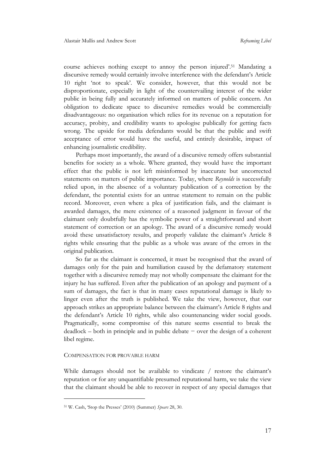course achieves nothing except to annoy the person injured'.51 Mandating a discursive remedy would certainly involve interference with the defendant's Article 10 right 'not to speak'. We consider, however, that this would not be disproportionate, especially in light of the countervailing interest of the wider public in being fully and accurately informed on matters of public concern. An obligation to dedicate space to discursive remedies would be commercially disadvantageous: no organisation which relies for its revenue on a reputation for accuracy, probity, and credibility wants to apologise publically for getting facts wrong. The upside for media defendants would be that the public and swift acceptance of error would have the useful, and entirely desirable, impact of enhancing journalistic credibility.

Perhaps most importantly, the award of a discursive remedy offers substantial benefits for society as a whole. Where granted, they would have the important effect that the public is not left misinformed by inaccurate but uncorrected statements on matters of public importance. Today, where Reynolds is successfully relied upon, in the absence of a voluntary publication of a correction by the defendant, the potential exists for an untrue statement to remain on the public record. Moreover, even where a plea of justification fails, and the claimant is awarded damages, the mere existence of a reasoned judgment in favour of the claimant only doubtfully has the symbolic power of a straightforward and short statement of correction or an apology. The award of a discursive remedy would avoid these unsatisfactory results, and properly validate the claimant's Article 8 rights while ensuring that the public as a whole was aware of the errors in the original publication.

So far as the claimant is concerned, it must be recognised that the award of damages only for the pain and humiliation caused by the defamatory statement together with a discursive remedy may not wholly compensate the claimant for the injury he has suffered. Even after the publication of an apology and payment of a sum of damages, the fact is that in many cases reputational damage is likely to linger even after the truth is published. We take the view, however, that our approach strikes an appropriate balance between the claimant's Article 8 rights and the defendant's Article 10 rights, while also countenancing wider social goods. Pragmatically, some compromise of this nature seems essential to break the deadlock – both in principle and in public debate − over the design of a coherent libel regime.

# COMPENSATION FOR PROVABLE HARM

 $\overline{a}$ 

While damages should not be available to vindicate / restore the claimant's reputation or for any unquantifiable presumed reputational harm, we take the view that the claimant should be able to recover in respect of any special damages that

<sup>51</sup> W. Cash, 'Stop the Presses' (2010) (Summer) Spears 28, 30.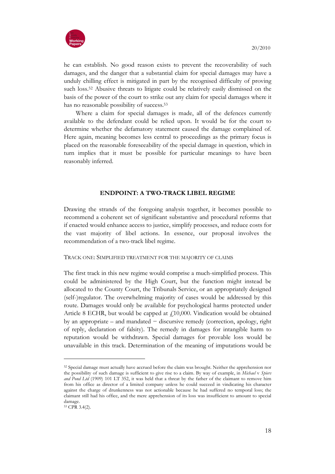

he can establish. No good reason exists to prevent the recoverability of such damages, and the danger that a substantial claim for special damages may have a unduly chilling effect is mitigated in part by the recognised difficulty of proving such loss.52 Abusive threats to litigate could be relatively easily dismissed on the basis of the power of the court to strike out any claim for special damages where it has no reasonable possibility of success.<sup>53</sup>

Where a claim for special damages is made, all of the defences currently available to the defendant could be relied upon. It would be for the court to determine whether the defamatory statement caused the damage complained of. Here again, meaning becomes less central to proceedings as the primary focus is placed on the reasonable foreseeability of the special damage in question, which in turn implies that it must be possible for particular meanings to have been reasonably inferred.

# ENDPOINT: A TWO-TRACK LIBEL REGIME

Drawing the strands of the foregoing analysis together, it becomes possible to recommend a coherent set of significant substantive and procedural reforms that if enacted would enhance access to justice, simplify processes, and reduce costs for the vast majority of libel actions. In essence, our proposal involves the recommendation of a two-track libel regime.

#### TRACK ONE: SIMPLIFIED TREATMENT FOR THE MAJORITY OF CLAIMS

The first track in this new regime would comprise a much-simplified process. This could be administered by the High Court, but the function might instead be allocated to the County Court, the Tribunals Service, or an appropriately designed (self-)regulator. The overwhelming majority of cases would be addressed by this route. Damages would only be available for psychological harms protected under Article 8 ECHR, but would be capped at  $f10,000$ . Vindication would be obtained by an appropriate – and mandated − discursive remedy (correction, apology, right of reply, declaration of falsity). The remedy in damages for intangible harm to reputation would be withdrawn. Special damages for provable loss would be unavailable in this track. Determination of the meaning of imputations would be

<sup>52</sup> Special damage must actually have accrued before the claim was brought. Neither the apprehension nor the possibility of such damage is sufficient to give rise to a claim. By way of example, in Michael v Spiers and Pond Ltd (1909) 101 LT 352, it was held that a threat by the father of the claimant to remove him from his office as director of a limited company unless he could succeed in vindicating his character against the charge of drunkenness was not actionable because he had suffered no temporal loss; the claimant still had his office, and the mere apprehension of its loss was insufficient to amount to special damage.

<sup>53</sup> CPR 3.4(2).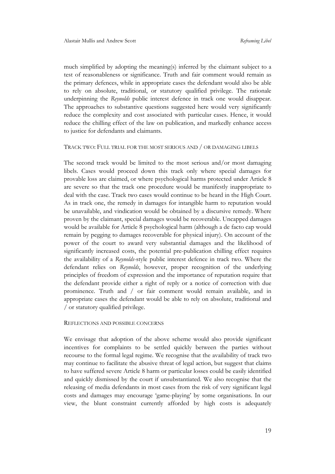much simplified by adopting the meaning(s) inferred by the claimant subject to a test of reasonableness or significance. Truth and fair comment would remain as the primary defences, while in appropriate cases the defendant would also be able to rely on absolute, traditional, or statutory qualified privilege. The rationale underpinning the Reynolds public interest defence in track one would disappear. The approaches to substantive questions suggested here would very significantly reduce the complexity and cost associated with particular cases. Hence, it would reduce the chilling effect of the law on publication, and markedly enhance access to justice for defendants and claimants.

### TRACK TWO: FULL TRIAL FOR THE MOST SERIOUS AND / OR DAMAGING LIBELS

The second track would be limited to the most serious and/or most damaging libels. Cases would proceed down this track only where special damages for provable loss are claimed, or where psychological harms protected under Article 8 are severe so that the track one procedure would be manifestly inappropriate to deal with the case. Track two cases would continue to be heard in the High Court. As in track one, the remedy in damages for intangible harm to reputation would be unavailable, and vindication would be obtained by a discursive remedy. Where proven by the claimant, special damages would be recoverable. Uncapped damages would be available for Article 8 psychological harm (although a de facto cap would remain by pegging to damages recoverable for physical injury). On account of the power of the court to award very substantial damages and the likelihood of significantly increased costs, the potential pre-publication chilling effect requires the availability of a Reynolds-style public interest defence in track two. Where the defendant relies on Reynolds, however, proper recognition of the underlying principles of freedom of expression and the importance of reputation require that the defendant provide either a right of reply or a notice of correction with due prominence. Truth and / or fair comment would remain available, and in appropriate cases the defendant would be able to rely on absolute, traditional and / or statutory qualified privilege.

# REFLECTIONS AND POSSIBLE CONCERNS

We envisage that adoption of the above scheme would also provide significant incentives for complaints to be settled quickly between the parties without recourse to the formal legal regime. We recognise that the availability of track two may continue to facilitate the abusive threat of legal action, but suggest that claims to have suffered severe Article 8 harm or particular losses could be easily identified and quickly dismissed by the court if unsubstantiated. We also recognise that the releasing of media defendants in most cases from the risk of very significant legal costs and damages may encourage 'game-playing' by some organisations. In our view, the blunt constraint currently afforded by high costs is adequately